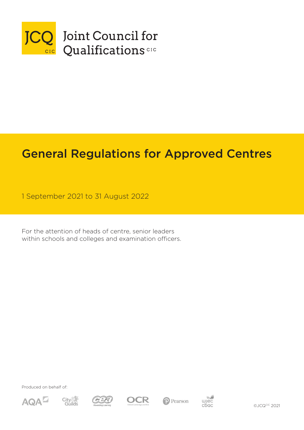

# General Regulations for Approved Centres

1 September 2021 to 31 August 2022

For the attention of heads of centre, senior leaders within schools and colleges and examination officers.

Produced on behalf of:













©JCQCIC 2021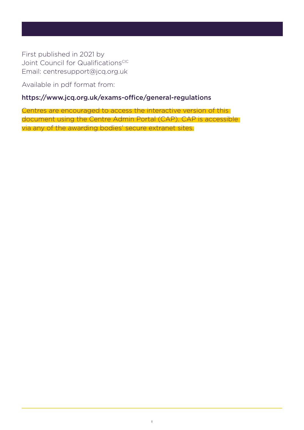First published in 2021 by Joint Council for QualificationsCIC Email: centresupport@jcq.org.uk

Available in pdf format from:

## <https://www.jcq.org.uk/exams-office/general-regulations>

Centres are encouraged to access the interactive version of this document using the Centre Admin Portal (CAP). CAP is accessible via any of the awarding bodies' secure extranet sites.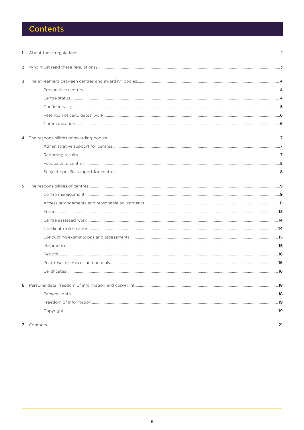## **Contents**

| $\mathbf{1}$   |  |
|----------------|--|
|                |  |
| 3              |  |
|                |  |
|                |  |
|                |  |
|                |  |
|                |  |
|                |  |
|                |  |
|                |  |
|                |  |
|                |  |
| 5              |  |
|                |  |
|                |  |
|                |  |
|                |  |
|                |  |
|                |  |
|                |  |
|                |  |
|                |  |
|                |  |
| 6              |  |
|                |  |
|                |  |
|                |  |
| $\overline{7}$ |  |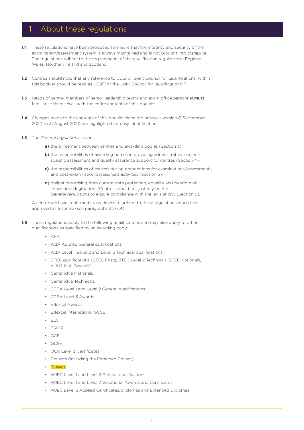## 1 About these regulations

- 1.1 These regulations have been produced to ensure that the integrity and security of the examination/assessment system is always maintained and is not brought into disrepute. The regulations adhere to the requirements of the qualification regulators in England, Wales, Northern Ireland and Scotland.
- 1.2 Centres should note that any reference to 'JCQ' or 'Joint Council for Qualifications' within this booklet should be read as JCQCIC or the Joint Council for QualificationsCIC.
- 1.3 Heads of centre, members of senior leadership teams and exam office personnel must familiarise themselves with the entire contents of this booklet.
- 1.4 Changes made to the contents of this booklet since the previous version (1 September 2020 to 31 August 2021) are highlighted for easy identification.
- 1.5 The *General regulations* cover:
	- a) the agreement between centres and awarding bodies (Section 3);
	- b) the responsibilities of awarding bodies in providing administrative, subjectspecific assessment and quality assurance support for centres (Section 4);
	- c) the responsibilities of centres during preparations for examinations/assessments and post-examination/assessment activities (Section 5);
	- d) obligations arising from current data protection, equality and freedom of information legislation. (Centres should not just rely on the *General regulations* to ensure compliance with the legislation.) (Section 6).

A centre will have confirmed its readiness to adhere to these regulations when first approved as a centre (see paragraphs 3.2-3.4).

- **1.6** These regulations apply to the following qualifications and may also apply to other qualifications as specified by an awarding body:
	- AEA
	- AQA Applied General qualifications
	- AQA Level 1, Level 2 and Level 3 Technical qualifications
	- BTEC qualifications (BTEC Firsts, BTEC Level 2 Technicals, BTEC Nationals, BTEC Tech Awards)
	- Cambridge Nationals
	- Cambridge Technicals
	- CCEA Level 1 and Level 2 General qualifications
	- CCEA Level 3 Awards
	- Edexcel Awards
	- Edexcel International GCSE
	- ELC
	- FSMQ
	- GCE
	- GCSE
	- OCR Level 3 Certificates
	- Projects (including the Extended Project)
	- T-levels
	- WJFC Level 1 and Level 2 General qualifications
	- WJEC Level 1 and Level 2 Vocational Awards and Certificates
	- WJEC Level 3 Applied Certificates, Diplomas and Extended Diplomas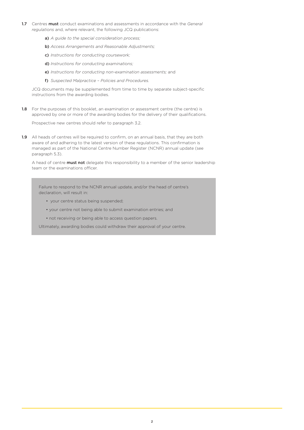- 1.7 Centres must conduct examinations and assessments in accordance with the *General regulations* and, where relevant, the following JCQ publications:
	- a) *A guide to the special consideration process;*
	- b) *Access Arrangements and Reasonable Adjustments;*
	- c) *Instructions for conducting coursework;*
	- d) *Instructions for conducting examinations;*
	- e) *Instructions for conducting non-examination assessments;* and
	- f) *Suspected Malpractice Policies and Procedures.*

JCQ documents may be supplemented from time to time by separate subject-specific instructions from the awarding bodies.

1.8 For the purposes of this booklet, an examination or assessment centre (the centre) is approved by one or more of the awarding bodies for the delivery of their qualifications.

Prospective new centres should refer to paragraph 3.2.

1.9 All heads of centres will be required to confirm, on an annual basis, that they are both aware of and adhering to the latest version of these regulations. This confirmation is managed as part of the National Centre Number Register (NCNR) annual update (see paragraph 5.3).

A head of centre **must not** delegate this responsibility to a member of the senior leadership team or the examinations officer.

Failure to respond to the NCNR annual update, and/or the head of centre's declaration, will result in:

- your centre status being suspended;
- your centre not being able to submit examination entries; and
- not receiving or being able to access question papers.

Ultimately, awarding bodies could withdraw their approval of your centre.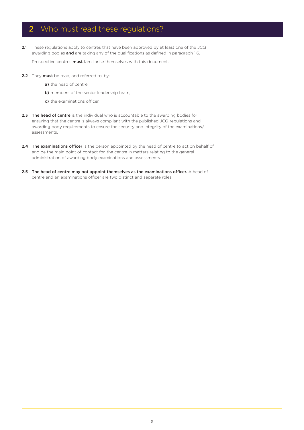## 2 Who must read these regulations?

2.1 These regulations apply to centres that have been approved by at least one of the JCQ awarding bodies and are taking any of the qualifications as defined in paragraph 1.6.

Prospective centres **must** familiarise themselves with this document.

- 2.2 They must be read, and referred to, by:
	- a) the head of centre;
	- b) members of the senior leadership team;
	- c) the examinations officer.
- 2.3 The head of centre is the individual who is accountable to the awarding bodies for ensuring that the centre is always compliant with the published JCQ regulations and awarding body requirements to ensure the security and integrity of the examinations/ assessments.
- 2.4 The examinations officer is the person appointed by the head of centre to act on behalf of, and be the main point of contact for, the centre in matters relating to the general administration of awarding body examinations and assessments.
- 2.5 The head of centre may not appoint themselves as the examinations officer. A head of centre and an examinations officer are two distinct and separate roles.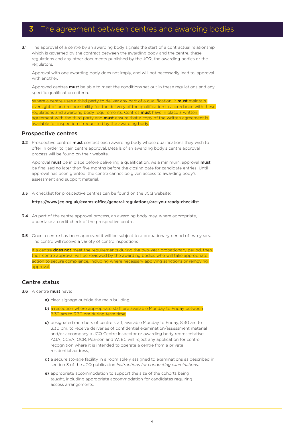## **3** The agreement between centres and awarding bodies

3.1 The approval of a centre by an awarding body signals the start of a contractual relationship which is governed by the contract between the awarding body and the centre, these regulations and any other documents published by the JCQ, the awarding bodies or the regulators.

Approval with one awarding body does not imply, and will not necessarily lead to, approval with another.

Approved centres must be able to meet the conditions set out in these regulations and any specific qualification criteria.

Where a centre uses a third party to deliver any part of a qualification, it must maintain oversight of, and responsibility for, the delivery of the qualification in accordance with these regulations and awarding body requirements. Centres must have in place a written agreement with the third party and **must** ensure that a copy of the written agreement is available for inspection if requested by the awarding body.

#### Prospective centres

3.2 Prospective centres must contact each awarding body whose qualifications they wish to offer in order to gain centre approval. Details of an awarding body's centre approval process will be found on their website.

Approval must be in place before delivering a qualification. As a minimum, approval must be finalised no later than five months before the closing date for candidate entries. Until approval has been granted, the centre cannot be given access to awarding body's assessment and support material.

**3.3** A checklist for prospective centres can be found on the JCQ website:

#### [https://www.jcq.org.uk/exams-office/general-regulations/are-you-ready-checklist](https://www.jcq.org.uk/exams-office/general-regulations)

- **3.4** As part of the centre approval process, an awarding body may, where appropriate, undertake a credit check of the prospective centre.
- **3.5** Once a centre has been approved it will be subject to a probationary period of two years. The centre will receive a variety of centre inspections

If a centre **does not** meet the requirements during the two-year probationary period, then their centre approval will be reviewed by the awarding bodies who will take appropriate action to secure compliance, including where necessary applying sanctions or removing approval.

## Centre status

- 3.6 A centre must have:
	- a) clear signage outside the main building:
	- b) a reception where appropriate staff are available Monday to Friday between 8.30 am to 3.30 pm during term time;
	- c) designated members of centre staff, available Monday to Friday, 8.30 am to 3.30 pm, to receive deliveries of confidential examination/assessment material and/or accompany a JCQ Centre Inspector or awarding body representative. AQA, CCEA, OCR, Pearson and WJEC will reject any application for centre recognition where it is intended to operate a centre from a private residential address;
	- d) a secure storage facility in a room solely assigned to examinations as described in section 3 of the JCQ publication *Instructions for conducting examinations;*
	- e) appropriate accommodation to support the size of the cohorts being taught, including appropriate accommodation for candidates requiring access arrangements.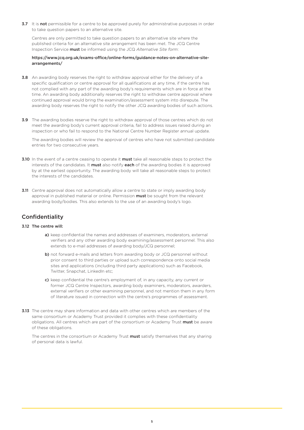3.7 It is not permissible for a centre to be approved purely for administrative purposes in order to take question papers to an alternative site.

Centres are only permitted to take question papers to an alternative site where the published criteria for an alternative site arrangement has been met. The JCQ Centre Inspection Service must be informed using the JCQ *Alternative Site form*:

#### [https://www.jcq.org.uk/exams-office/online-forms/guidance-notes-on-alternative-site](https://www.jcq.org.uk/exams-office/online-forms/guidance-notes-on-alternative-site-arrangements/)[arrangements/](https://www.jcq.org.uk/exams-office/online-forms/guidance-notes-on-alternative-site-arrangements/)

- 3.8 An awarding body reserves the right to withdraw approval either for the delivery of a specific qualification or centre approval for all qualifications at any time, if the centre has not complied with any part of the awarding body's requirements which are in force at the time. An awarding body additionally reserves the right to withdraw centre approval where continued approval would bring the examination/assessment system into disrepute. The awarding body reserves the right to notify the other JCQ awarding bodies of such actions.
- 3.9 The awarding bodies reserve the right to withdraw approval of those centres which do not meet the awarding body's current approval criteria, fail to address issues raised during an inspection or who fail to respond to the National Centre Number Register annual update.

The awarding bodies will review the approval of centres who have not submitted candidate entries for two consecutive years.

- 3.10 In the event of a centre ceasing to operate it must take all reasonable steps to protect the interests of the candidates. It must also notify each of the awarding bodies it is approved by at the earliest opportunity. The awarding body will take all reasonable steps to protect the interests of the candidates.
- **3.11** Centre approval does not automatically allow a centre to state or imply awarding body approval in published material or online. Permission must be sought from the relevant awarding body/bodies. This also extends to the use of an awarding body's logo.

## Confidentiality

### 3.12 The centre will:

- a) keep confidential the names and addresses of examiners, moderators, external verifiers and any other awarding body examining/assessment personnel. This also extends to e-mail addresses of awarding body/JCQ personnel;
- b) not forward e-mails and letters from awarding body or JCQ personnel without prior consent to third parties or upload such correspondence onto social media sites and applications (including third party applications) such as Facebook, Twitter, Snapchat, LinkedIn etc;
- c) keep confidential the centre's employment of, in any capacity, any current or former JCQ Centre Inspectors, awarding body examiners, moderators, awarders, external verifiers or other examining personnel, and not mention them in any form of literature issued in connection with the centre's programmes of assessment.
- **3.13** The centre may share information and data with other centres which are members of the same consortium or Academy Trust provided it complies with these confidentiality obligations. All centres which are part of the consortium or Academy Trust must be aware of these obligations.

The centres in the consortium or Academy Trust must satisfy themselves that any sharing of personal data is lawful.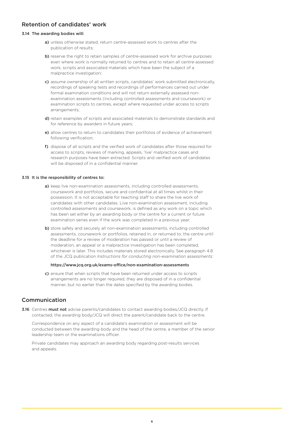## Retention of candidates' work

#### 3.14 The awarding bodies will:

- a) unless otherwise stated, return centre-assessed work to centres after the publication of results;
- b) reserve the right to retain samples of centre-assessed work for archive purposes even where work is normally returned to centres and to retain all centre-assessed work, scripts and associated materials which have been the subject of a malpractice investigation;
- c) assume ownership of all written scripts, candidates' work submitted electronically, recordings of speaking tests and recordings of performances carried out under formal examination conditions and will not return externally assessed nonexamination assessments (including controlled assessments and coursework) or examination scripts to centres, except where requested under access to scripts arrangements;
- d) retain examples of scripts and associated materials to demonstrate standards and for reference by awarders in future years;
- e) allow centres to return to candidates their portfolios of evidence of achievement following verification;
- f) dispose of all scripts and the verified work of candidates after those required for access to scripts, reviews of marking, appeals, 'live' malpractice cases and research purposes have been extracted. Scripts and verified work of candidates will be disposed of in a confidential manner.

#### 3.15 It is the responsibility of centres to:

- a) keep live non-examination assessments, including controlled assessments, coursework and portfolios, secure and confidential at all times whilst in their possession. It is not acceptable for teaching staff to share the live work of candidates with other candidates. Live non-examination assessment, including controlled assessments and coursework, is defined as any work on a topic which has been set either by an awarding body or the centre for a current or future examination series even if the work was completed in a previous year;
- b) store safely and securely all non-examination assessments, including controlled assessments, coursework or portfolios, retained in, or returned to, the centre until the deadline for a review of moderation has passed or until a review of moderation, an appeal or a malpractice investigation has been completed, whichever is later. This includes materials stored electronically. See paragraph 4.8 of the JCQ publication *Instructions for conducting non-examination assessments:*

#### <https://www.jcq.org.uk/exams-office/non-examination-assessments>

c) ensure that when scripts that have been returned under access to scripts arrangements are no longer required, they are disposed of in a confidential manner, but no earlier than the dates specified by the awarding bodies.

## Communication

3.16 Centres must not advise parents/candidates to contact awarding bodies/JCQ directly. If contacted, the awarding body/JCQ will direct the parent/candidate back to the centre.

Correspondence on any aspect of a candidate's examination or assessment will be conducted between the awarding body and the head of the centre, a member of the senior leadership team or the examinations officer.

Private candidates may approach an awarding body regarding post-results services and appeals.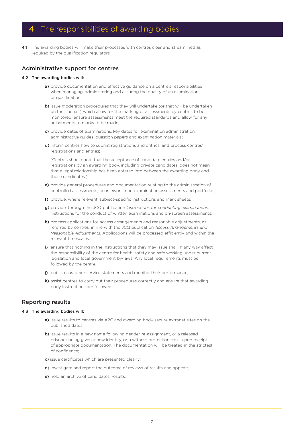## 4 The responsibilities of awarding bodies

4.1 The awarding bodies will make their processes with centres clear and streamlined as required by the qualification regulators.

## Administrative support for centres

#### 4.2 The awarding bodies will:

- a) provide documentation and effective quidance on a centre's responsibilities when managing, administering and assuring the quality of an examination or qualification;
- b) issue moderation procedures that they will undertake (or that will be undertaken on their behalf) which allow for the marking of assessments by centres to be monitored, ensure assessments meet the required standards and allow for any adjustments to marks to be made;
- c) provide dates of examinations, key dates for examination administration, administrative guides, question papers and examination materials;
- d) inform centres how to submit registrations and entries, and process centres' registrations and entries;

 (Centres should note that the acceptance of candidate entries and/or registrations by an awarding body, including private candidates, does not mean that a legal relationship has been entered into between the awarding body and those candidates.)

- e) provide general procedures and documentation relating to the administration of controlled assessments, coursework, non-examination assessments and portfolios;
- f) provide, where relevant, subject-specific instructions and mark sheets;
- g) provide, through the JCQ publication *Instructions for conducting examinations*, instructions for the conduct of written examinations and on-screen assessments;
- h) process applications for access arrangements and reasonable adjustments, as referred by centres, in line with the JCQ publication *Access Arrangements and Reasonable Adjustments*. Applications will be processed efficiently and within the relevant timescales;
- i) ensure that nothing in the instructions that they may issue shall in any way affect the responsibility of the centre for health, safety and safe working under current legislation and local government by-laws. Any local requirements must be followed by the centre;
- j) publish customer service statements and monitor their performance;
- k) assist centres to carry out their procedures correctly and ensure that awarding body instructions are followed.

## Reporting results

#### 4.3 The awarding bodies will:

- a) issue results to centres via A2C and awarding body secure extranet sites on the published dates;
- b) issue results in a new name following gender re-assignment, or a released prisoner being given a new identity, or a witness protection case, upon receipt of appropriate documentation. The documentation will be treated in the strictest of confidence;
- c) issue certificates which are presented clearly;
- d) investigate and report the outcome of reviews of results and appeals;
- e) hold an archive of candidates' results.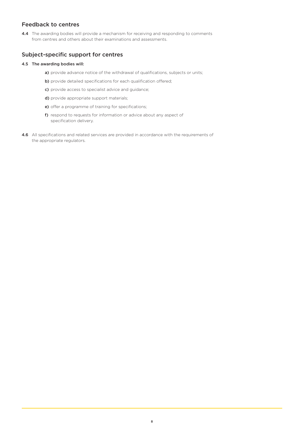## Feedback to centres

4.4 The awarding bodies will provide a mechanism for receiving and responding to comments from centres and others about their examinations and assessments.

## Subject-specific support for centres

### 4.5 The awarding bodies will:

- a) provide advance notice of the withdrawal of qualifications, subjects or units;
- b) provide detailed specifications for each qualification offered;
- c) provide access to specialist advice and guidance;
- d) provide appropriate support materials;
- e) offer a programme of training for specifications;
- f) respond to requests for information or advice about any aspect of specification delivery.
- 4.6 All specifications and related services are provided in accordance with the requirements of the appropriate regulators.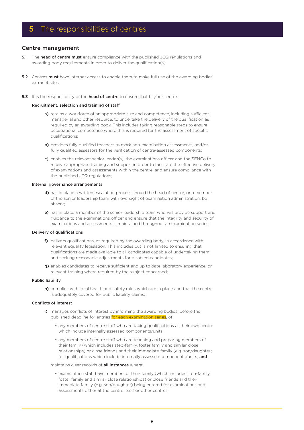## 5 The responsibilities of centres

### Centre management

- 5.1 The head of centre must ensure compliance with the published JCQ regulations and awarding body requirements in order to deliver the qualification(s).
- **5.2** Centres **must** have internet access to enable them to make full use of the awarding bodies' extranet sites.
- 5.3 It is the responsibility of the head of centre to ensure that his/her centre:

#### Recruitment, selection and training of staff

- a) retains a workforce of an appropriate size and competence, including sufficient managerial and other resource, to undertake the delivery of the qualification as required by an awarding body. This includes taking reasonable steps to ensure occupational competence where this is required for the assessment of specific qualifications;
- b) provides fully qualified teachers to mark non-examination assessments, and/or fully qualified assessors for the verification of centre-assessed components;
- c) enables the relevant senior leader(s), the examinations officer and the SENCo to receive appropriate training and support in order to facilitate the effective delivery of examinations and assessments within the centre, and ensure compliance with the published JCQ regulations;

#### Internal governance arrangements

- d) has in place a written escalation process should the head of centre, or a member of the senior leadership team with oversight of examination administration, be absent;
- e) has in place a member of the senior leadership team who will provide support and guidance to the examinations officer and ensure that the integrity and security of examinations and assessments is maintained throughout an examination series;

#### Delivery of qualifications

- f) delivers qualifications, as required by the awarding body, in accordance with relevant equality legislation. This includes but is not limited to ensuring that qualifications are made available to all candidates capable of undertaking them and seeking reasonable adjustments for disabled candidates;
- g) enables candidates to receive sufficient and up to date laboratory experience, or relevant training where required by the subject concerned;

#### Public liability

h) complies with local health and safety rules which are in place and that the centre is adequately covered for public liability claims;

#### Conflicts of interest

- i) manages conflicts of interest by informing the awarding bodies, before the published deadline for entries for each examination series, of:
	- any members of centre staff who are taking qualifications at their own centre which include internally assessed components/units;
	- any members of centre staff who are teaching and preparing members of their family (which includes step-family, foster family and similar close relationships) or close friends and their immediate family (e.g. son/daughter) for qualifications which include internally assessed components/units; and

#### maintains clear records of **all instances** where:

 • exams office staff have members of their family (which includes step-family, foster family and similar close relationships) or close friends and their immediate family (e.g. son/daughter) being entered for examinations and assessments either at the centre itself or other centres;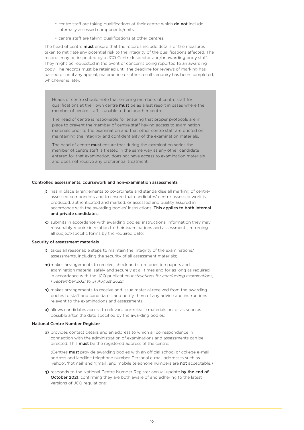- centre staff are taking qualifications at their centre which **do not** include internally assessed components/units;
- centre staff are taking qualifications at other centres.

The head of centre **must** ensure that the records include details of the measures taken to mitigate any potential risk to the integrity of the qualifications affected. The records may be inspected by a JCQ Centre Inspector and/or awarding body staff. They might be requested in the event of concerns being reported to an awarding body. The records must be retained until the deadline for reviews of marking has passed or until any appeal, malpractice or other results enquiry has been completed, whichever is later.

Heads of centre should note that entering members of centre staff for qualifications at their own centre **must** be as a last resort in cases where the member of centre staff is unable to find another centre.

The head of centre is responsible for ensuring that proper protocols are in place to prevent the member of centre staff having access to examination materials prior to the examination and that other centre staff are briefed on maintaining the integrity and confidentiality of the examination materials.

The head of centre **must** ensure that during the examination series the member of centre staff is treated in the same way as any other candidate entered for that examination, does not have access to examination materials and does not receive any preferential treatment.

#### Controlled assessments, coursework and non-examination assessments

- j) has in place arrangements to co-ordinate and standardise all marking of centreassessed components and to ensure that candidates' centre-assessed work is produced, authenticated and marked, or assessed and quality assured in accordance with the awarding bodies' instructions. This applies to both internal and private candidates;
- k) submits in accordance with awarding bodies' instructions, information they may reasonably require in relation to their examinations and assessments, returning all subject-specific forms by the required date;

#### Security of assessment materials

- l) takes all reasonable steps to maintain the integrity of the examinations/ assessments, including the security of all assessment materials;
- m) makes arrangements to receive, check and store question papers and examination material safely and securely at all times and for as long as required in accordance with the JCQ publication *Instructions for conducting examinations, 1 September 2021 to 31 August 2022;*
- n) makes arrangements to receive and issue material received from the awarding bodies to staff and candidates, and notify them of any advice and instructions relevant to the examinations and assessments;
- o) allows candidates access to relevant pre-release materials on, or as soon as possible after, the date specified by the awarding bodies;

#### National Centre Number Register

p) provides contact details and an address to which all correspondence in connection with the administration of examinations and assessments can be directed. This **must** be the registered address of the centre;

(Centres must provide awarding bodies with an official school or college e-mail address and landline telephone number. Personal e-mail addresses such as 'yahoo', 'hotmail' and 'gmail', and mobile telephone numbers are not acceptable.)

q) responds to the National Centre Number Register annual update by the end of October 2021, confirming they are both aware of and adhering to the latest versions of JCQ regulations;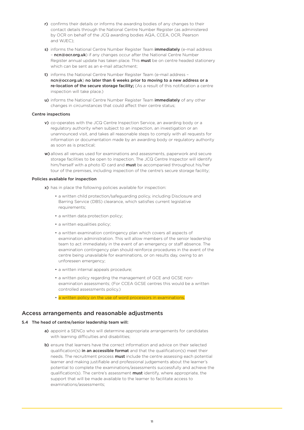- r) confirms their details or informs the awarding bodies of any changes to their contact details through the National Centre Number Register (as administered by OCR on behalf of the JCQ awarding bodies AQA, CCEA, OCR, Pearson and WJEC);
- s) informs the National Centre Number Register Team *immediately* (e-mail address – [ncn@ocr.org.uk](mailto:ncn%40ocr.org.uk?subject=)) if any changes occur after the National Centre Number Register annual update has taken place. This **must** be on centre headed stationery which can be sent as an e-mail attachment;
- t) informs the National Centre Number Register Team (e-mail address [ncn@ocr.org.uk](mailto:ncn%40ocr.org.uk?subject=)) no later than 6 weeks prior to moving to a new address or a re-location of the secure storage facility; (As a result of this notification a centre inspection will take place.)
- u) informs the National Centre Number Register Team *immediately* of any other changes in circumstances that could affect their centre status;

#### Centre inspections

- v) co-operates with the JCQ Centre Inspection Service, an awarding body or a regulatory authority when subject to an inspection, an investigation or an unannounced visit, and takes all reasonable steps to comply with all requests for information or documentation made by an awarding body or regulatory authority as soon as is practical;
- w) allows all venues used for examinations and assessments, paperwork and secure storage facilities to be open to inspection. The JCQ Centre Inspector will identify him/herself with a photo ID card and must be accompanied throughout his/her tour of the premises, including inspection of the centre's secure storage facility;

#### Policies available for inspection

- x) has in place the following policies available for inspection:
	- a written child protection/safeguarding policy, including Disclosure and Barring Service (DBS) clearance, which satisfies current legislative requirements;
	- a written data protection policy;
	- a written equalities policy;
	- a written examination contingency plan which covers all aspects of examination administration. This will allow members of the senior leadership team to act immediately in the event of an emergency or staff absence. The examination contingency plan should reinforce procedures in the event of the centre being unavailable for examinations, or on results day, owing to an unforeseen emergency;
	- a written internal appeals procedure;
	- a written policy regarding the management of GCE and GCSE non examination assessments; (For CCEA GCSE centres this would be a written controlled assessments policy.)
	- a written policy on the use of word processors in examinations.

## Access arrangements and reasonable adjustments

#### 5.4 The head of centre/senior leadership team will:

- a) appoint a SENCo who will determine appropriate arrangements for candidates with learning difficulties and disabilities;
- b) ensure that learners have the correct information and advice on their selected qualification(s) in an accessible format and that the qualification(s) meet their needs. The recruitment process **must** include the centre assessing each potential learner and making justifiable and professional judgements about the learner's potential to complete the examinations/assessments successfully and achieve the qualification(s). The centre's assessment **must** identify, where appropriate, the support that will be made available to the learner to facilitate access to examinations/assessments;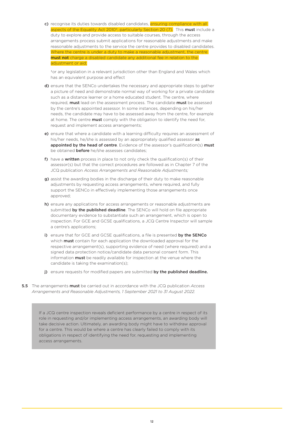c) recognise its duties towards disabled candidates, ensuring compliance with all aspects of the Equality Act 2010<sup>+</sup>, particularly Section 20 (7). This **must** include a duty to explore and provide access to suitable courses, through the access arrangements process submit applications for reasonable adjustments and make reasonable adjustments to the service the centre provides to disabled candidates. Where the centre is under a duty to make a reasonable adjustment, the centre must not charge a disabled candidate any additional fee in relation to the adjustment or aid;

†or any legislation in a relevant jurisdiction other than England and Wales which has an equivalent purpose and effect

- d) ensure that the SENCo undertakes the necessary and appropriate steps to gather a picture of need and demonstrate normal way of working for a private candidate such as a distance learner or a home educated student. The centre, where required, must lead on the assessment process. The candidate must be assessed by the centre's appointed assessor. In some instances, depending on his/her needs, the candidate may have to be assessed away from the centre, for example at home. The centre **must** comply with the obligation to identify the need for, request and implement access arrangements;
- e) ensure that where a candidate with a learning difficulty requires an assessment of his/her needs, he/she is assessed by an appropriately qualified assessor as appointed by the head of centre. Evidence of the assessor's qualification(s) must be obtained before he/she assesses candidates;
- f) have a written process in place to not only check the qualification(s) of their assessor(s) but that the correct procedures are followed as in Chapter 7 of the JCQ publication *Access Arrangements and Reasonable Adjustments;*
- g) assist the awarding bodies in the discharge of their duty to make reasonable adjustments by requesting access arrangements, where required, and fully support the SENCo in effectively implementing those arrangements once approved;
- h) ensure any applications for access arrangements or reasonable adjustments are submitted by the published deadline. The SENCo will hold on file appropriate documentary evidence to substantiate such an arrangement, which is open to inspection. For GCE and GCSE qualifications, a JCQ Centre Inspector will sample a centre's applications;
- i) ensure that for GCE and GCSE qualifications, a file is presented by the SENCo which **must** contain for each application the downloaded approval for the respective arrangement(s), supporting evidence of need (where required) and a signed data protection notice/candidate data personal consent form. This information **must** be readily available for inspection at the venue where the candidate is taking the examination(s);
- i) ensure requests for modified papers are submitted by the published deadline.
- 5.5 The arrangements must be carried out in accordance with the JCQ publication *Access Arrangements and Reasonable Adjustments, 1 September 2021 to 31 August 2022.*

If a JCQ centre inspection reveals deficient performance by a centre in respect of its role in requesting and/or implementing access arrangements, an awarding body will take decisive action. Ultimately, an awarding body might have to withdraw approval for a centre. This would be where a centre has clearly failed to comply with its obligations in respect of identifying the need for, requesting and implementing access arrangements.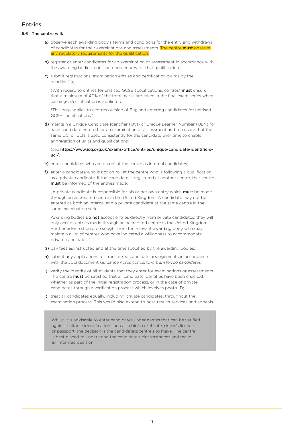## Entries

#### 5.6 The centre will:

- a) observe each awarding body's terms and conditions for the entry and withdrawal of candidates for their examinations and assessments. The centre must observe requlatory requirements for the qualification
- b) register or enter candidates for an examination or assessment in accordance with the awarding bodies' published procedures for that qualification;
- c) submit registrations, examination entries and certification claims by the deadline(s);

(With regard to entries for unitised GCSE specifications, centres<sup>†</sup> must ensure that a minimum of 40% of the total marks are taken in the final exam series when cashing-in/certification is applied for.

†This only applies to centres outside of England entering candidates for unitised GCSE specifications.)

d) maintain a Unique Candidate Identifier (UCI) or Unique Learner Number (ULN) for each candidate entered for an examination or assessment and to ensure that the same UCI or ULN is used consistently for the candidate over time to enable aggregation of units and qualifications;

#### (see [https://www.jcq.org.uk/exams-office/entries/unique-candidate-identifiers](https://www.jcq.org.uk/exams-office/entries/unique-candidate-identifiers-uci/)[uci/](https://www.jcq.org.uk/exams-office/entries/unique-candidate-identifiers-uci/))

- e) enter candidates who are on roll at the centre as internal candidates:
- f) enter a candidate who is not on roll at the centre who is following a qualification as a private candidate. If the candidate is registered at another centre, that centre must be informed of the entries made:

(A private candidate is responsible for his or her own entry which must be made through an accredited centre in the United Kingdom. A candidate may not be entered as both an internal and a private candidate at the same centre in the same examination series.

Awarding bodies **do not** accept entries directly from private candidates; they will only accept entries made through an accredited centre in the United Kingdom. Further advice should be sought from the relevant awarding body who may maintain a list of centres who have indicated a willingness to accommodate private candidates.)

- g) pay fees as instructed and at the time specified by the awarding bodies;
- h) submit any applications for transferred candidate arrangements in accordance with the JCQ document *Guidance notes concerning transferred candidates;*
- i) verify the identity of all students that they enter for examinations or assessments. The centre **must** be satisfied that all candidate identities have been checked, whether as part of the initial registration process, or in the case of private candidates through a verification process which involves photo-ID;
- j) treat all candidates equally, including private candidates, throughout the examination process. This would also extend to post-results services and appeals.

Whilst it is advisable to enter candidates under names that can be verified against suitable identification such as a birth certificate, driver's licence or passport, the decision is the candidate's/centre's to make. The centre is best placed to understand the candidate's circumstances and make an informed decision.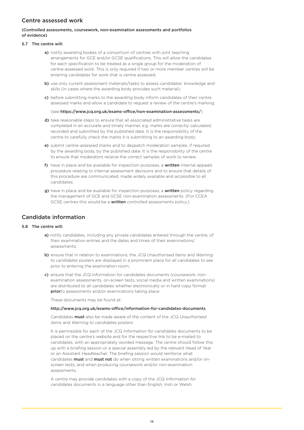## Centre assessed work

#### (Controlled assessments, coursework, non-examination assessments and portfolios of evidence)

#### 5.7 The centre will:

- a) notify awarding bodies of a consortium of centres with joint teaching arrangements for GCE and/or GCSE qualifications. This will allow the candidates for each specification to be treated as a single group for the moderation of centre-assessed work. This is only required if two or more member centres will be entering candidates for work that is centre assessed;
- b) use only current assessment materials/tasks to assess candidates' knowledge and skills (in cases where the awarding body provides such material);
- c) before submitting marks to the awarding body inform candidates of their centre assessed marks and allow a candidate to request a review of the centre's marking;

(see<https://www.jcq.org.uk/exams-office/non-examination-assessments/>)

- d) take reasonable steps to ensure that all associated administrative tasks are completed in an accurate and timely manner, e.g. marks are correctly calculated, recorded and submitted by the published date. It is the responsibility of the centre to carefully check the marks it is submitting to an awarding body;
- e) submit centre-assessed marks and to despatch moderation samples, if required by the awarding body, by the published date. It is the responsibility of the centre to ensure that moderators receive the correct samples of work to review;
- f) have in place and be available for inspection purposes, a written internal appeals procedure relating to internal assessment decisions and to ensure that details of this procedure are communicated, made widely available and accessible to all candidates;
- g) have in place and be available for inspection purposes, a written policy regarding the management of GCE and GCSE non-examination assessments. (For CCEA GCSE centres this would be a written controlled assessments policy.)

## Candidate information

#### 5.8 The centre will:

- a) notify candidates, including any private candidates entered through the centre, of their examination entries and the dates and times of their examinations/ assessments;
- b) ensure that in relation to examinations, the JCQ *Unauthorised items* and *Warning to candidates* posters are displayed in a prominent place for all candidates to see prior to entering the examination room;
- c) ensure that the JCQ Information for candidates documents (coursework, nonexamination assessments, on-screen tests, social media and written examinations) are distributed to all candidates whether electronically or in hard copy format priorto assessments and/or examinations taking place.

These documents may be found at:

#### [http://www.jcq.org.uk/exams-office/information-for-candidates-documents](https://www.jcq.org.uk/exams-office/information-for-candidates-documents)

Candidates must also be made aware of the content of the JCQ *Unauthorised items* and *Warning to candidates posters.*

It is permissible for each of the JCQ *Information for candidates* documents to be placed on the centre's website and for the respective link to be e-mailed to candidates, with an appropriately worded message. The centre should follow this up with a briefing session or a special assembly led by the relevant Head of Year or an Assistant Headteacher. The briefing session would reinforce what candidates **must** and **must not** do when sitting written examinations and/or onscreen tests, and when producing coursework and/or non-examination assessments.

A centre may provide candidates with a copy of the JCQ *Information for candidates* documents in a language other than English, Irish or Welsh.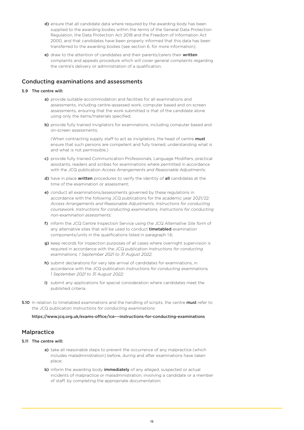- d) ensure that all candidate data where required by the awarding body has been supplied to the awarding bodies within the terms of the General Data Protection Regulation, the Data Protection Act 2018 and the Freedom of Information Act 2000, and that candidates have been properly informed that this data has been transferred to the awarding bodies (see section 6, for more information);
- e) draw to the attention of candidates and their parents/carers their written complaints and appeals procedure which will cover general complaints regarding the centre's delivery or administration of a qualification.

### Conducting examinations and assessments

#### 5.9 The centre will:

- a) provide suitable accommodation and facilities for all examinations and assessments, including centre-assessed work, computer based and on-screen assessments, ensuring that the work submitted is that of the candidate alone using only the items/materials specified;
- b) provide fully trained invigilators for examinations, including computer based and on-screen assessments;

(When contracting supply staff to act as invigilators, the head of centre must ensure that such persons are competent and fully trained, understanding what is and what is not permissible.)

- c) provide fully trained Communication Professionals, Language Modifiers, practical assistants, readers and scribes for examinations where permitted in accordance with the JCQ publication *Access Arrangements and Reasonable Adjustments;*
- d) have in place written procedures to verify the identity of all candidates at the time of the examination or assessment;
- e) conduct all examinations/assessments governed by these regulations in accordance with the following JCQ publications for the academic year 2021/22: *Access Arrangements and Reasonable Adjustments, Instructions for conducting coursework, Instructions for conducting examinations, Instructions for conducting non-examination assessments;*
- f) inform the JCQ Centre Inspection Service using the JCQ *Alternative Site form* of any alternative sites that will be used to conduct **timetabled** examination components/units in the qualifications listed in paragraph 1.6;
- g) keep records for inspection purposes of all cases where overnight supervision is required in accordance with the JCQ publication *Instructions for conducting examinations, 1 September 2021 to 31 August 2022;*
- h) submit declarations for very late arrival of candidates for examinations, in accordance with the JCQ publication *Instructions for conducting examinations, 1 September 2021 to 31 August 2022;*
- i) submit any applications for special consideration where candidates meet the published criteria.
- **5.10** In relation to timetabled examinations and the handling of scripts, the centre **must** refer to the JCQ publication *Instructions for conducting examinations:*

<https://www.jcq.org.uk/exams-office/ice---instructions-for-conducting-examinations>

## Malpractice

### 5.11 The centre will:

- a) take all reasonable steps to prevent the occurrence of any malpractice (which includes maladministration) before, during and after examinations have taken place;
- b) inform the awarding body *immediately* of any alleged, suspected or actual incidents of malpractice or maladministration, involving a candidate or a member of staff, by completing the appropriate documentation;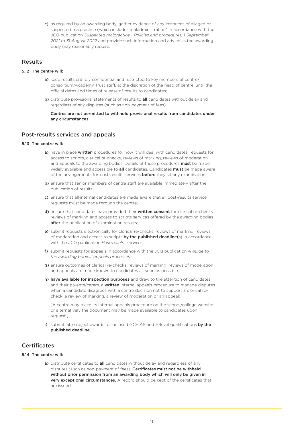c) as required by an awarding body, gather evidence of any instances of alleged or suspected malpractice (which includes maladministration) in accordance with the JCQ publication *Suspected malpractice - Policies and procedures, 1 September 2021 to 31 August 2022* and provide such information and advice as the awarding body may reasonably require.

## Results

#### 5.12 The centre will:

- a) keep results entirely confidential and restricted to key members of centre/ consortium/Academy Trust staff, at the discretion of the head of centre, until the official dates and times of release of results to candidates;
- b) distribute provisional statements of results to **all** candidates without delay and regardless of any disputes (such as non-payment of fees).

Centres are not permitted to withhold provisional results from candidates under any circumstances.

### Post-results services and appeals

#### 5.13 The centre will:

- a) have in place written procedures for how it will deal with candidates' requests for access to scripts, clerical re-checks, reviews of marking, reviews of moderation and appeals to the awarding bodies. Details of these procedures must be made widely available and accessible to **all** candidates. Candidates **must** be made aware of the arrangements for post-results services **before** they sit any examinations;
- b) ensure that senior members of centre staff are available immediately after the publication of results;
- c) ensure that all internal candidates are made aware that all post-results service requests must be made through the centre;
- d) ensure that candidates have provided their written consent for clerical re-checks, reviews of marking and access to scripts services offered by the awarding bodies after the publication of examination results;
- e) submit requests electronically for clerical re-checks, reviews of marking, reviews of moderation and access to scripts by the published deadline(s) in accordance with the JCQ publication *Post-results services;*
- f) submit requests for appeals in accordance with the JCQ publication *A guide to the awarding bodies' appeals processes;*
- g) ensure outcomes of clerical re-checks, reviews of marking, reviews of moderation and appeals are made known to candidates as soon as possible;
- h) have available for inspection purposes and draw to the attention of candidates and their parents/carers, a written internal appeals procedure to manage disputes when a candidate disagrees with a centre decision not to support a clerical recheck, a review of marking, a review of moderation or an appeal;

(A centre may place its internal appeals procedure on the school/college website or alternatively the document may be made available to candidates upon request.)

i) submit late subject awards for unitised GCE AS and A-level qualifications by the published deadline.

## **Certificates**

#### 5.14 The centre will:

a) distribute certificates to all candidates without delay and regardless of any disputes (such as non-payment of fees). Certificates must not be withheld without prior permission from an awarding body which will only be given in very exceptional circumstances. A record should be kept of the certificates that are issued;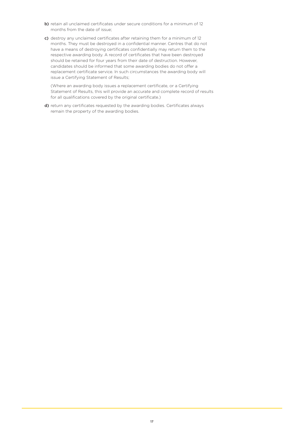- b) retain all unclaimed certificates under secure conditions for a minimum of 12 months from the date of issue;
- c) destroy any unclaimed certificates after retaining them for a minimum of 12 months. They must be destroyed in a confidential manner. Centres that do not have a means of destroying certificates confidentially may return them to the respective awarding body. A record of certificates that have been destroyed should be retained for four years from their date of destruction. However, candidates should be informed that some awarding bodies do not offer a replacement certificate service. In such circumstances the awarding body will issue a Certifying Statement of Results;

(Where an awarding body issues a replacement certificate, or a Certifying Statement of Results, this will provide an accurate and complete record of results for all qualifications covered by the original certificate.)

d) return any certificates requested by the awarding bodies. Certificates always remain the property of the awarding bodies.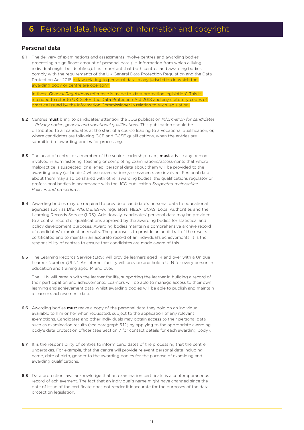## **6** Personal data, freedom of information and copyright

## Personal data

6.1 The delivery of examinations and assessments involve centres and awarding bodies processing a significant amount of personal data (i.e. information from which a living individual might be identified). It is important that both centres and awarding bodies comply with the requirements of the UK General Data Protection Regulation and the Data Protection Act 2018 or law relating to personal data in any jurisdiction in which the awarding body or centre are operating.

In these *General Regulations* reference is made to 'data protection legislation'. This is intended to refer to UK GDPR, the Data Protection Act 2018 and any statutory codes of practice issued by the Information Commissioner in relation to such legislation.

- 6.2 Centres must bring to candidates' attention the JCQ publication *Information for candidates – Privacy notice, general and vocational qualifications.* This publication should be distributed to all candidates at the start of a course leading to a vocational qualification, or, where candidates are following GCE and GCSE qualifications, when the entries are submitted to awarding bodies for processing.
- 6.3 The head of centre, or a member of the senior leadership team, must advise any person involved in administering, teaching or completing examinations/assessments that where malpractice is suspected, or alleged, personal data about them will be provided to the awarding body (or bodies) whose examinations/assessments are involved. Personal data about them may also be shared with other awarding bodies, the qualifications regulator or professional bodies in accordance with the JCQ publication *Suspected malpractice – Policies and procedures.*
- **6.4** Awarding bodies may be required to provide a candidate's personal data to educational agencies such as DfE, WG, DE, ESFA, regulators, HESA, UCAS, Local Authorities and the Learning Records Service (LRS). Additionally, candidates' personal data may be provided to a central record of qualifications approved by the awarding bodies for statistical and policy development purposes. Awarding bodies maintain a comprehensive archive record of candidates' examination results. The purpose is to provide an audit trail of the results certificated and to maintain an accurate record of an individual's achievements. It is the responsibility of centres to ensure that candidates are made aware of this.
- 6.5 The Learning Records Service (LRS) will provide learners aged 14 and over with a Unique Learner Number (ULN). An internet facility will provide and hold a ULN for every person in education and training aged 14 and over.

The ULN will remain with the learner for life, supporting the learner in building a record of their participation and achievements. Learners will be able to manage access to their own learning and achievement data, whilst awarding bodies will be able to publish and maintain a learner's achievement data.

- 6.6 Awarding bodies must make a copy of the personal data they hold on an individual available to him or her when requested, subject to the application of any relevant exemptions. Candidates and other individuals may obtain access to their personal data such as examination results (see paragraph 5.12) by applying to the appropriate awarding body's data protection officer (see Section 7 for contact details for each awarding body).
- 6.7 It is the responsibility of centres to inform candidates of the processing that the centre undertakes. For example, that the centre will provide relevant personal data including name, date of birth, gender to the awarding bodies for the purpose of examining and awarding qualifications.
- 6.8 Data protection laws acknowledge that an examination certificate is a contemporaneous record of achievement. The fact that an individual's name might have changed since the date of issue of the certificate does not render it inaccurate for the purposes of the data protection legislation.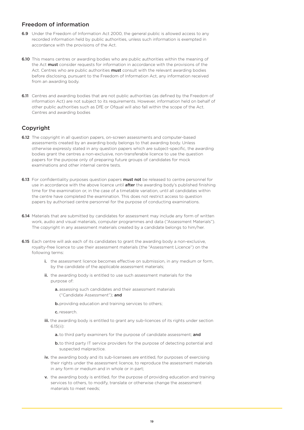## Freedom of information

- 6.9 Under the Freedom of Information Act 2000, the general public is allowed access to any recorded information held by public authorities, unless such information is exempted in accordance with the provisions of the Act.
- 6.10 This means centres or awarding bodies who are public authorities within the meaning of the Act **must** consider requests for information in accordance with the provisions of the Act. Centres who are public authorities **must** consult with the relevant awarding bodies before disclosing, pursuant to the Freedom of Information Act, any information received from an awarding body.
- **6.11** Centres and awarding bodies that are not public authorities (as defined by the Freedom of information Act) are not subject to its requirements. However, information held on behalf of other public authorities such as DfE or Ofqual will also fall within the scope of the Act. Centres and awarding bodies

## Copyright

- 6.12 The copyright in all question papers, on-screen assessments and computer-based assessments created by an awarding body belongs to that awarding body. Unless otherwise expressly stated in any question papers which are subject-specific, the awarding bodies grant the centres a non-exclusive, non-transferable licence to use the question papers for the purpose only of preparing future groups of candidates for mock examinations and other internal centre tests.
- 6.13 For confidentiality purposes question papers **must not** be released to centre personnel for use in accordance with the above licence until **after** the awarding body's published finishing time for the examination or, in the case of a timetable variation, until all candidates within the centre have completed the examination. This does not restrict access to question papers by authorised centre personnel for the purpose of conducting examinations.
- **6.14** Materials that are submitted by candidates for assessment may include any form of written work, audio and visual materials, computer programmes and data ("Assessment Materials"). The copyright in any assessment materials created by a candidate belongs to him/her.
- 6.15 Each centre will ask each of its candidates to grant the awarding body a non-exclusive, royalty-free licence to use their assessment materials (the "Assessment Licence") on the following terms:
	- i. the assessment licence becomes effective on submission, in any medium or form, by the candidate of the applicable assessment materials;
	- ii. the awarding body is entitled to use such assessment materials for the purpose of:
		- a. assessing such candidates and their assessment materials ("Candidate Assessment"); and
		- **b.** providing education and training services to others;
		- c. research.
	- iii. the awarding body is entitled to grant any sub-licences of its rights under section 6.15(ii):
		- a. to third party examiners for the purpose of candidate assessment; and
		- b. to third party IT service providers for the purpose of detecting potential and suspected malpractice.
	- iv. the awarding body and its sub-licensees are entitled, for purposes of exercising their rights under the assessment licence, to reproduce the assessment materials in any form or medium and in whole or in part;
	- v. the awarding body is entitled, for the purpose of providing education and training services to others, to modify, translate or otherwise change the assessment materials to meet needs;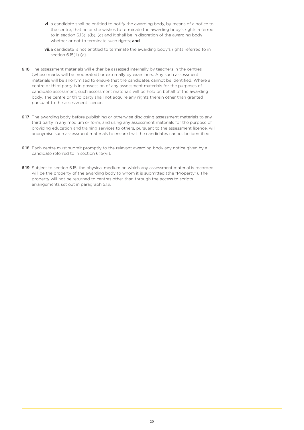- vi. a candidate shall be entitled to notify the awarding body, by means of a notice to the centre, that he or she wishes to terminate the awarding body's rights referred to in section 6.15(ii)(b), (c) and it shall be in discretion of the awarding body whether or not to terminate such rights; and
- vii.a candidate is not entitled to terminate the awarding body's rights referred to in section 6.15(ii) (a).
- **6.16** The assessment materials will either be assessed internally by teachers in the centres (whose marks will be moderated) or externally by examiners. Any such assessment materials will be anonymised to ensure that the candidates cannot be identified. Where a centre or third party is in possession of any assessment materials for the purposes of candidate assessment, such assessment materials will be held on behalf of the awarding body. The centre or third party shall not acquire any rights therein other than granted pursuant to the assessment licence.
- 6.17 The awarding body before publishing or otherwise disclosing assessment materials to any third party in any medium or form, and using any assessment materials for the purpose of providing education and training services to others, pursuant to the assessment licence, will anonymise such assessment materials to ensure that the candidates cannot be identified.
- **6.18** Each centre must submit promptly to the relevant awarding body any notice given by a candidate referred to in section 6.15(vi).
- 6.19 Subject to section 6.15, the physical medium on which any assessment material is recorded will be the property of the awarding body to whom it is submitted (the "Property"). The property will not be returned to centres other than through the access to scripts arrangements set out in paragraph 5.13.